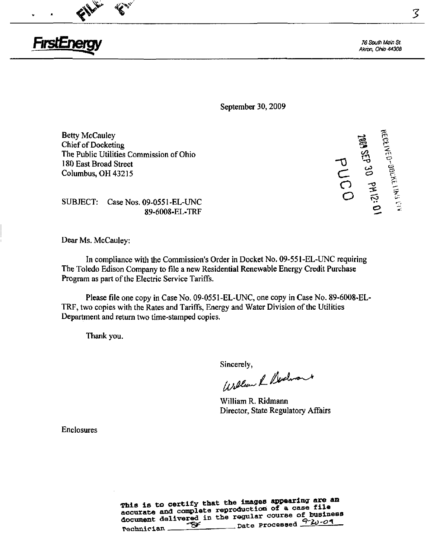

76 South Main St. AHron, Ohio 44303

September 30, 2009

 $\mathsf{B}\text{etty}$  McCauley  $\mathbb{R}^3$  $\mathbb{C}$ hief of Docketing  $\mathbb{C}$ The Public Utilities Commission of Ohio ^ 180 East Broad Street Columbus, OH 43215

 $\mathscr{L}^{\bullet}$  and  $\mathscr{L}^{\bullet}$  for  $\mathbf{c} \mathbf{v}$   $\mathbf{v}$ 

SUBJECT: Case Nos. 09-0551 -EL-UNC 89-6008-EL-TRF

Dear Ms. McCauley:

In compliance with the Commission's Order in Docket No. 09-551-EL-UNC requiring The Toledo Edison Company to file a new Residential Renewable Energy Credit Purchase Program as part of the Electric Service Tariffs.

Please file one copy in Case No. 09-0551-EL-UNC, one copy in Case No. 89-6008-EL-TRF, two copies with the Rates and Tariffs, Energy and Water Division of the Utilities Department and retum two time-stamped copies.

Thank you.

Sincerely.

William & Dedwort

William R. Ridmann Director, State Regulatory Affairs

Enclosures

This is to certify that the images appearing are an accurate and complete reproduction of a case file document delivered in the regular course of business<br>
Date Processed  $\frac{9-20-09}{1}$  $\overbrace{S}$  ... ... Date Processed  $\overbrace{S}$  ...  $\overbrace{S}$ 

 $\mathcal{Z}$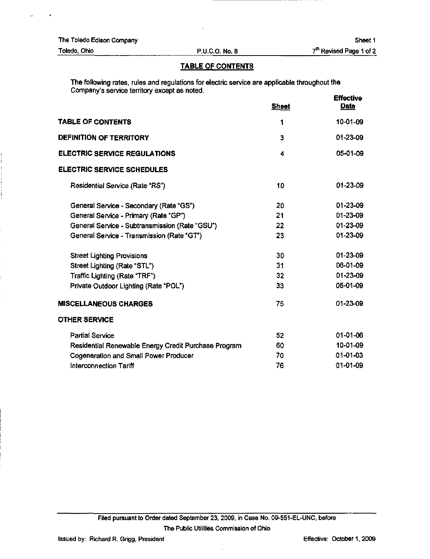|  |  |  | The Toledo Edison Company |
|--|--|--|---------------------------|
|--|--|--|---------------------------|

 $\bar{\mathbf{G}}$ 

Toledo, Ohio P.U.C.O. No. 8

### TABLE OF CONTENTS

The following rates, rules and regulations for electric service are applicable throughout the Company's service territory except as noted. Effective

|                                                      | <b>Sheet</b> | に川やしいりで<br><b>Date</b> |
|------------------------------------------------------|--------------|------------------------|
| TABLE OF CONTENTS                                    | 1            | $10 - 01 - 09$         |
| DEFINITION OF TERRITORY                              | 3            | 01-23-09               |
| <b>ELECTRIC SERVICE REGULATIONS</b>                  | 4            | 05-01-09               |
| <b>ELECTRIC SERVICE SCHEDULES</b>                    |              |                        |
| <b>Residential Service (Rate "RS")</b>               | 10           | 01-23-09               |
| General Service - Secondary (Rate "GS")              | 20           | $01 - 23 - 09$         |
| General Service - Primary (Rate "GP")                | 21           | D1-23-09               |
| General Service - Subtransmission (Rate "GSU")       | 22           | 01-23-09               |
| General Service - Transmission (Rate "GT")           | 23           | $01 - 23 - 09$         |
| <b>Street Lighting Provisions</b>                    | 30           | $01 - 23 - 09$         |
| Street Lighting (Rate "STL")                         | 31           | D6-01-09               |
| Traffic Lighting (Rate "TRF")                        | 32           | 01-23-09               |
| Private Outdoor Lighting (Rate "POL")                | 33           | 06-01-09               |
| <b>MISCELLANEOUS CHARGES</b>                         | 75           | 01-23-09               |
| <b>OTHER SERVICE</b>                                 |              |                        |
| <b>Partial Service</b>                               | 52           | $01-01-06$             |
| Residential Renewable Energy Credit Purchase Program | 60           | 10-01-09               |
| Cogeneration and Small Power Producer                | 70           | 01-01-03               |
| Interconnection Tariff                               | 76           | $01 - 01 - 09$         |